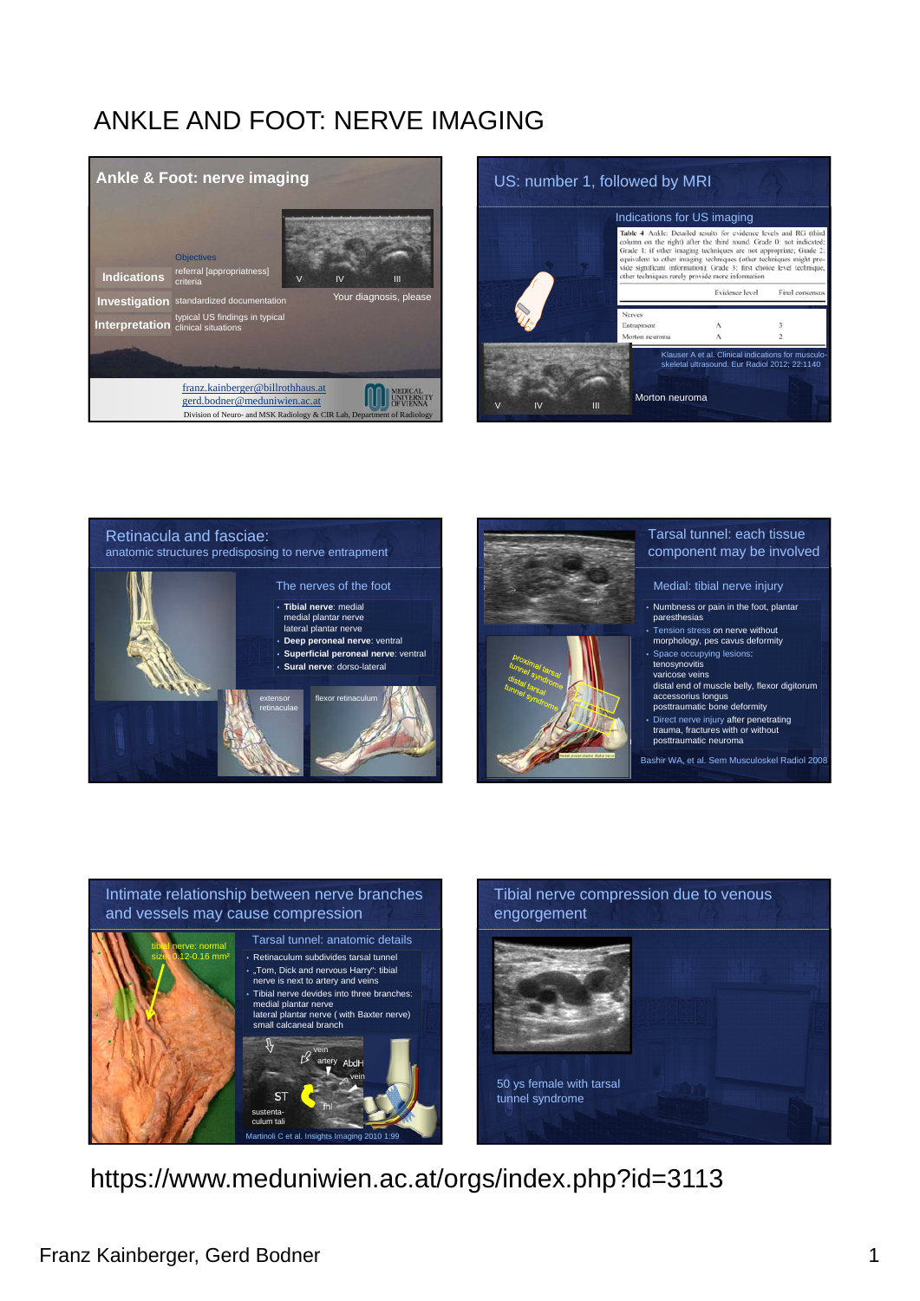







### Tarsal tunnel: each tissue component may be involved

#### Medial: tibial nerve injury

- Numbness or pain in the foot, plantar paresthesias
- Tension stress on nerve without
- morphology, pes cavus deformity

# • Space occupying lesions: tenosynovitis

- varicose veins distal end of muscle belly, flexor digitorum
- accessorius longus posttraumatic bone deformity
- Direct nerve injury after penetrating trauma, fractures with or without posttraumatic neuroma

#### Bashir WA, et al. Sem Musculoskel Radiol 2008

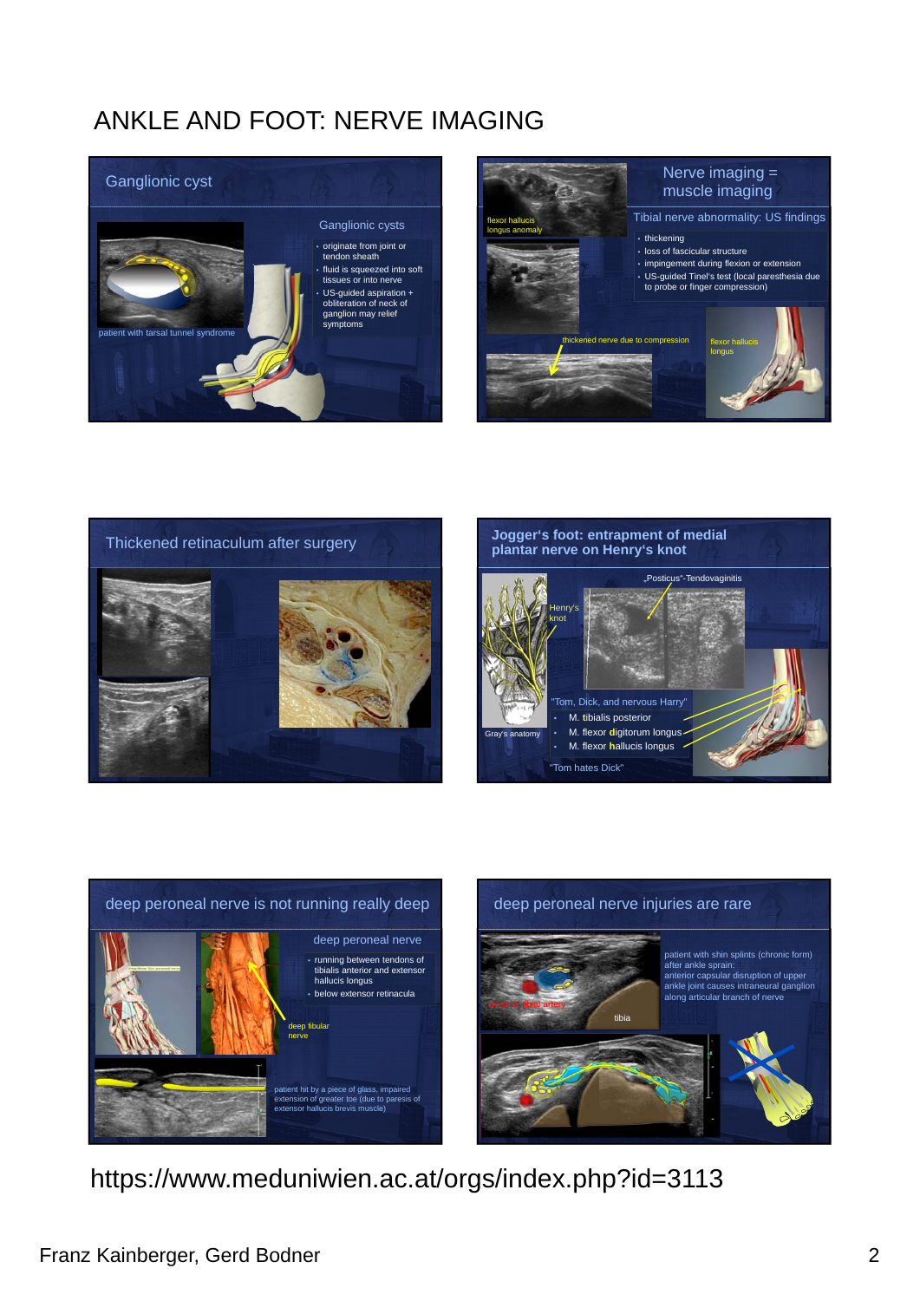









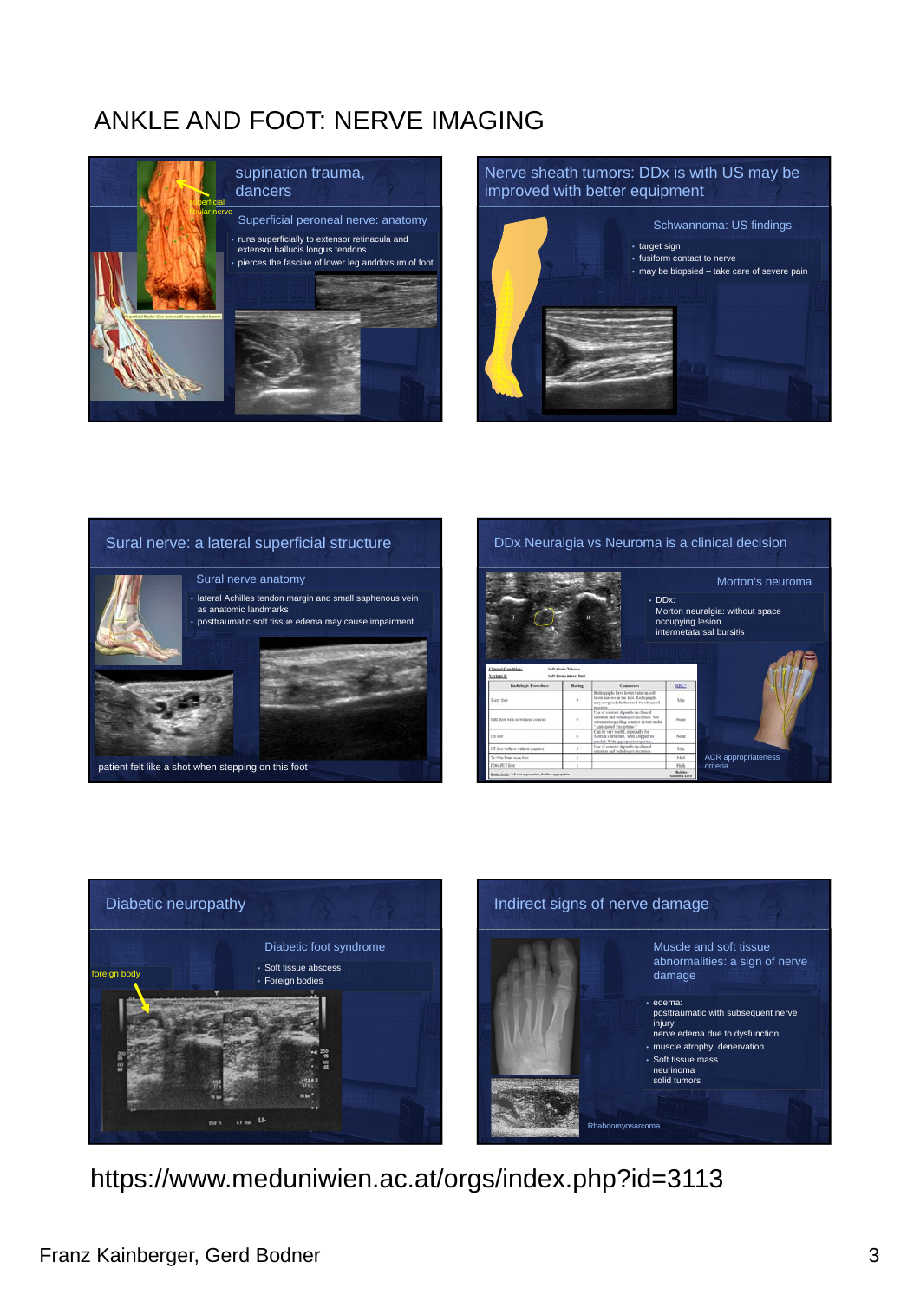

## Nerve sheath tumors: DDx is with US may be improved with better equipment



### Sural nerve: a lateral superficial structure



#### • lateral Achilles tendon margin and small saphenous vein as anatomic landmarks **posttraumatic soft tissue edema may cause impairment** Sural nerve anatomy



patient felt like a shot when stepping on this foot

#### DDx Neuralgia vs Neuroma is a clinical decision



• DDx: Morton neuralgia: without space occupying lesion intermetatarsal bursitis Morton's neuroma

> EIL! Ma .<br>Notes  $\overline{\phantom{a}}$  $\overline{M}$

ACR appropriateness criteria